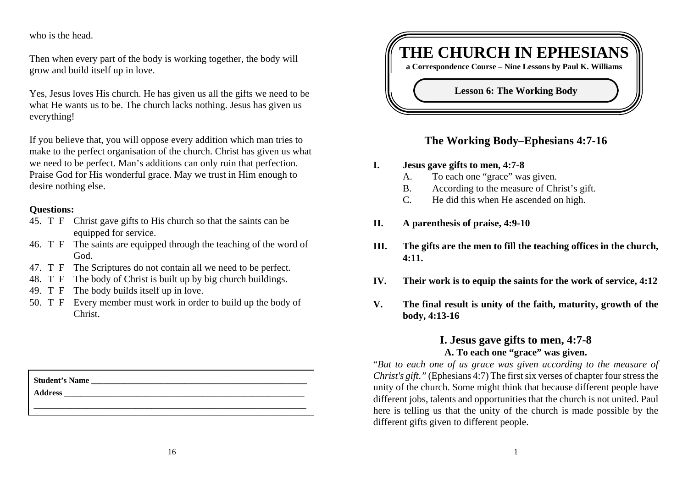who is the head.

Then when every part of the body is working together, the body will grow and build itself up in love.

Yes, Jesus loves His church. He has given us all the gifts we need to be what He wants us to be. The church lacks nothing. Jesus has given us everything!

If you believe that, you will oppose every addition which man tries to make to the perfect organisation of the church. Christ has given us what we need to be perfect. Man's additions can only ruin that perfection. Praise God for His wonderful grace. May we trust in Him enough to desire nothing else.

#### **Questions:**

- 45. T F Christ gave gifts to His church so that the saints can be equipped for service.
- 46. T F The saints are equipped through the teaching of the word of God.
- 47. T F The Scriptures do not contain all we need to be perfect.
- 48. T F The body of Christ is built up by big church buildings.
- 49. T F The body builds itself up in love.
- 50. T F Every member must work in order to build up the body of Christ.

| <b>Student's Name</b> |  |  |  |
|-----------------------|--|--|--|
| <b>Address</b>        |  |  |  |
|                       |  |  |  |



## **The Working Body–Ephesians 4:7-16**

- **I. Jesus gave gifts to men, 4:7-8**
	- A. To each one "grace" was given.
	- B. According to the measure of Christ's gift.
	- C. He did this when He ascended on high.
- **II. A parenthesis of praise, 4:9-10**
- **III. The gifts are the men to fill the teaching offices in the church, 4:11.**
- **IV. Their work is to equip the saints for the work of service, 4:12**
- **V. The final result is unity of the faith, maturity, growth of the body, 4:13-16**

## **I. Jesus gave gifts to men, 4:7-8 A. To each one "grace" was given.**

"*But to each one of us grace was given according to the measure of Christ's gift*.*"* (Ephesians 4:7) The first six verses of chapter four stress the unity of the church. Some might think that because different people have different jobs, talents and opportunities that the church is not united. Paul here is telling us that the unity of the church is made possible by the different gifts given to different people.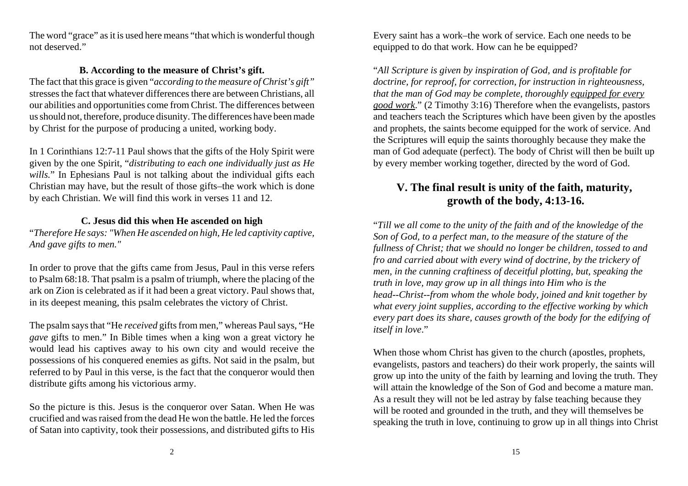The word "grace" as it is used here means "that which is wonderful though not deserved."

#### **B. According to the measure of Christ's gift.**

The fact that this grace is given "*according to the measure of Christ's gift"* stresses the fact that whatever differences there are between Christians, all our abilities and opportunities come from Christ. The differences between us should not, therefore, produce disunity. The differences have been made by Christ for the purpose of producing a united, working body.

In 1 Corinthians 12:7-11 Paul shows that the gifts of the Holy Spirit were given by the one Spirit, "*distributing to each one individually just as He* wills." In Ephesians Paul is not talking about the individual gifts each Christian may have, but the result of those gifts–the work which is done by each Christian. We will find this work in verses 11 and 12.

### **C. Jesus did this when He ascended on high**

"*Therefore He says: "When He ascended on high, He led captivity captive, And gave gifts to men."*

In order to prove that the gifts came from Jesus, Paul in this verse refers to Psalm 68:18. That psalm is a psalm of triumph, where the placing of the ark on Zion is celebrated as if it had been a great victory. Paul shows that, in its deepest meaning, this psalm celebrates the victory of Christ.

The psalm says that "He *received* gifts from men," whereas Paul says, "He *gave* gifts to men." In Bible times when a king won a great victory he would lead his captives away to his own city and would receive the possessions of his conquered enemies as gifts. Not said in the psalm, but referred to by Paul in this verse, is the fact that the conqueror would then distribute gifts among his victorious army.

So the picture is this. Jesus is the conqueror over Satan. When He was crucified and was raised from the dead He won the battle. He led the forces of Satan into captivity, took their possessions, and distributed gifts to His

Every saint has a work–the work of service. Each one needs to be equipped to do that work. How can he be equipped?

"*All Scripture is given by inspiration of God, and is profitable for doctrine, for reproof, for correction, for instruction in righteousness, that the man of God may be complete, thoroughly equipped for every good work*." (2 Timothy 3:16) Therefore when the evangelists, pastors and teachers teach the Scriptures which have been given by the apostles and prophets, the saints become equipped for the work of service. And the Scriptures will equip the saints thoroughly because they make the man of God adequate (perfect). The body of Christ will then be built up by every member working together, directed by the word of God.

# **V. The final result is unity of the faith, maturity, growth of the body, 4:13-16.**

"*Till we all come to the unity of the faith and of the knowledge of the Son of God, to a perfect man, to the measure of the stature of the fullness of Christ; that we should no longer be children, tossed to and fro and carried about with every wind of doctrine, by the trickery of men, in the cunning craftiness of deceitful plotting, but, speaking the truth in love, may grow up in all things into Him who is the head--Christ--from whom the whole body, joined and knit together by what every joint supplies, according to the effective working by which every part does its share, causes growth of the body for the edifying of itself in love*."

When those whom Christ has given to the church (apostles, prophets, evangelists, pastors and teachers) do their work properly, the saints will grow up into the unity of the faith by learning and loving the truth. They will attain the knowledge of the Son of God and become a mature man. As a result they will not be led astray by false teaching because they will be rooted and grounded in the truth, and they will themselves be speaking the truth in love, continuing to grow up in all things into Christ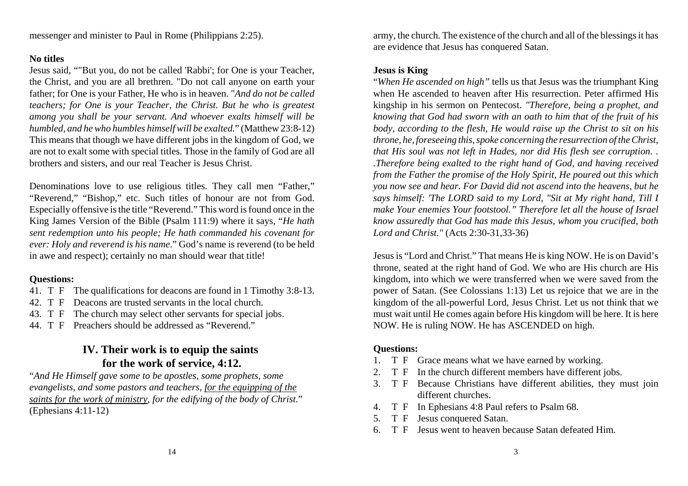#### **No titles**

Jesus said, ""But you, do not be called 'Rabbi'; for One is your Teacher, the Christ, and you are all brethren. "Do not call anyone on earth your father; for One is your Father, He who is in heaven. "*And do not be called teachers; for One is your Teacher, the Christ. But he who is greatest among you shall be your servant. And whoever exalts himself will be humbled, and he who humbles himself will be exalted*." (Matthew 23:8-12) This means that though we have different jobs in the kingdom of God, we are not to exalt some with special titles. Those in the family of God are all brothers and sisters, and our real Teacher is Jesus Christ.

Denominations love to use religious titles. They call men "Father," "Reverend," "Bishop," etc. Such titles of honour are not from God. Especially offensive is the title "Reverend." This word is found once in the King James Version of the Bible (Psalm 111:9) where it says, "*He hath sent redemption unto his people; He hath commanded his covenant for ever: Holy and reverend is his name*." God's name is reverend (to be held in awe and respect); certainly no man should wear that title!

## **Questions:**

- 41. T F The qualifications for deacons are found in 1 Timothy 3:8-13.
- 42. T F Deacons are trusted servants in the local church.
- 43. T F The church may select other servants for special jobs.
- 44. T F Preachers should be addressed as "Reverend."

# **IV. Their work is to equip the saints for the work of service, 4:12.**

"*And He Himself gave some to be apostles, some prophets, some evangelists, and some pastors and teachers, for the equipping of the saints for the work of ministry, for the edifying of the body of Christ*." (Ephesians 4:11-12)

army, the church. The existence of the church and all of the blessings it has are evidence that Jesus has conquered Satan.

#### **Jesus is King**

"*When He ascended on high"* tells us that Jesus was the triumphant King when He ascended to heaven after His resurrection. Peter affirmed Hiskingship in his sermon on Pentecost. *"Therefore, being a prophet, and knowing that God had sworn with an oath to him that of the fruit of his body, according to the flesh, He would raise up the Christ to sit on his throne, he, foreseeing this, spoke concerning the resurrection of the Christ, that His soul was not left in Hades, nor did His flesh see corruption. . .Therefore being exalted to the right hand of God, and having received from the Father the promise of the Holy Spirit, He poured out this which you now see and hear. For David did not ascend into the heavens, but he says himself: 'The LORD said to my Lord, "Sit at My right hand, Till I make Your enemies Your footstool." Therefore let all the house of Israel know assuredly that God has made this Jesus, whom you crucified, both Lord and Christ."* (Acts 2:30-31,33-36)

Jesus is "Lord and Christ." That means He is king NOW. He is on David's throne, seated at the right hand of God. We who are His church are His kingdom, into which we were transferred when we were saved from the power of Satan. (See Colossians 1:13) Let us rejoice that we are in the kingdom of the all-powerful Lord, Jesus Christ. Let us not think that we must wait until He comes again before His kingdom will be here. It is here NOW. He is ruling NOW. He has ASCENDED on high.

## **Questions:**

- 1. T F Grace means what we have earned by working.
- 2. T F In the church different members have different jobs.
- 3. T F Because Christians have different abilities, they must join different churches.
- 4. T F In Ephesians 4:8 Paul refers to Psalm 68.
- 5. T F Jesus conquered Satan.
- 6. T F Jesus went to heaven because Satan defeated Him.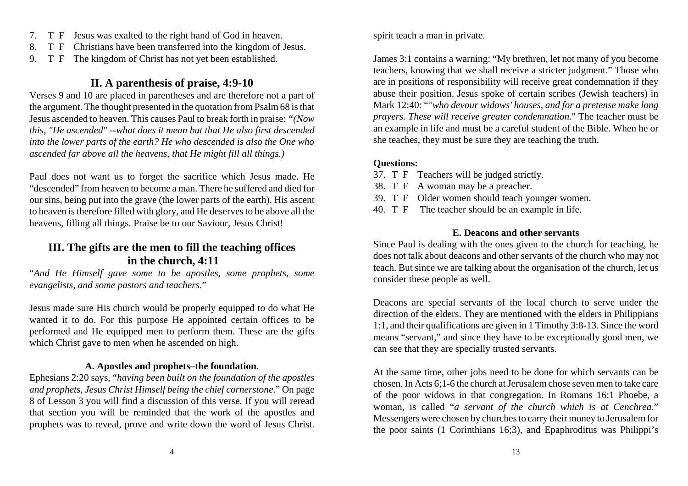- 7. T F Jesus was exalted to the right hand of God in heaven.
- 8. T F Christians have been transferred into the kingdom of Jesus.
- 9. T F The kingdom of Christ has not yet been established.

## **II. A parenthesis of praise, 4:9-10**

Verses 9 and 10 are placed in parentheses and are therefore not a part of the argument. The thought presented in the quotation from Psalm 68 is that Jesus ascended to heaven. This causes Paul to break forth in praise: *"(Now this, "He ascended" --what does it mean but that He also first descended into the lower parts of the earth? He who descended is also the One who ascended far above all the heavens, that He might fill all things.)*

Paul does not want us to forget the sacrifice which Jesus made. He "descended" from heaven to become a man. There he suffered and died for our sins, being put into the grave (the lower parts of the earth). His ascent to heaven is therefore filled with glory, and He deserves to be above all the heavens, filling all things. Praise be to our Saviour, Jesus Christ!

## **III. The gifts are the men to fill the teaching offices in the church, 4:11**

"*And He Himself gave some to be apostles, some prophets, some evangelists, and some pastors and teachers*."

Jesus made sure His church would be properly equipped to do what He wanted it to do. For this purpose He appointed certain offices to be performed and He equipped men to perform them. These are the gifts which Christ gave to men when he ascended on high.

#### **A. Apostles and prophets–the foundation.**

Ephesians 2:20 says, "*having been built on the foundation of the apostles and prophets, Jesus Christ Himself being the chief cornerstone*." On page 8 of Lesson 3 you will find a discussion of this verse. If you will reread that section you will be reminded that the work of the apostles and prophets was to reveal, prove and write down the word of Jesus Christ.

spirit teach a man in private.

James 3:1 contains a warning: "My brethren, let not many of you become teachers, knowing that we shall receive a stricter judgment." Those who are in positions of responsibility will receive great condemnation if they abuse their position. Jesus spoke of certain scribes (Jewish teachers) in Mark 12:40: "*"who devour widows' houses, and for a pretense make long prayers. These will receive greater condemnation*." The teacher must be an example in life and must be a careful student of the Bible. When he or she teaches, they must be sure they are teaching the truth.

## **Questions:**

- 37. T F Teachers will be judged strictly.
- 38. T F A woman may be a preacher.
- 39. T F Older women should teach younger women.
- 40. T F The teacher should be an example in life.

## **E. Deacons and other servants**

Since Paul is dealing with the ones given to the church for teaching, he does not talk about deacons and other servants of the church who may not teach. But since we are talking about the organisation of the church, let us consider these people as well.

Deacons are special servants of the local church to serve under the direction of the elders. They are mentioned with the elders in Philippians 1:1, and their qualifications are given in 1 Timothy 3:8-13. Since the word means "servant," and since they have to be exceptionally good men, we can see that they are specially trusted servants.

At the same time, other jobs need to be done for which servants can be chosen. In Acts 6;1-6 the church at Jerusalem chose seven men to take care of the poor widows in that congregation. In Romans 16:1 Phoebe, a woman, is called "*a servant of the church which is at Cenchrea.*" Messengers were chosen by churches to carry their money to Jerusalem for the poor saints (1 Corinthians 16;3), and Epaphroditus was Philippi's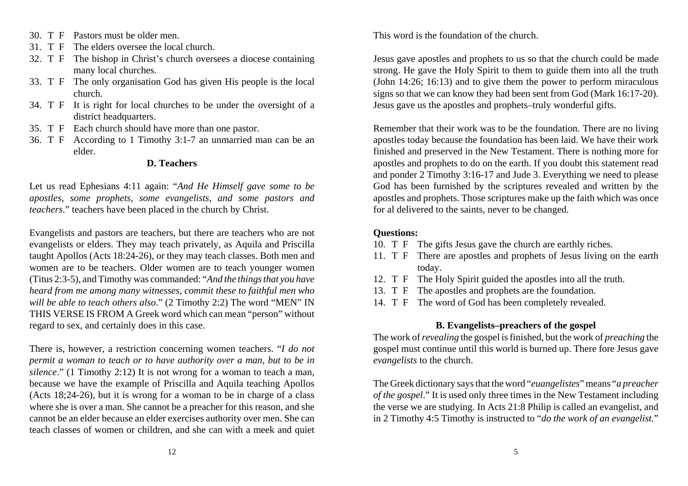- 30. T F Pastors must be older men.
- 31. T F The elders oversee the local church.
- 32. T F The bishop in Christ's church oversees a diocese containing many local churches.
- 33. T F The only organisation God has given His people is the local church.
- 34. T F It is right for local churches to be under the oversight of a district headquarters.
- 35. T F Each church should have more than one pastor.
- 36. T F According to 1 Timothy 3:1-7 an unmarried man can be an elder.

#### **D. Teachers**

Let us read Ephesians 4:11 again: "*And He Himself gave some to be apostles, some prophets, some evangelists, and some pastors and teachers*." teachers have been placed in the church by Christ.

Evangelists and pastors are teachers, but there are teachers who are not evangelists or elders. They may teach privately, as Aquila and Priscilla taught Apollos (Acts 18:24-26), or they may teach classes. Both men and women are to be teachers. Older women are to teach younger women (Titus 2:3-5), and Timothy was commanded: "*And the things that you have heard from me among many witnesses, commit these to faithful men who will be able to teach others also*." (2 Timothy 2:2) The word "MEN" IN THIS VERSE IS FROM A Greek word which can mean "person" without regard to sex, and certainly does in this case.

There is, however, a restriction concerning women teachers. "*I do not permit a woman to teach or to have authority over a man, but to be in silence*." (1 Timothy 2:12) It is not wrong for a woman to teach a man, because we have the example of Priscilla and Aquila teaching Apollos (Acts 18;24-26), but it is wrong for a woman to be in charge of a class where she is over a man. She cannot be a preacher for this reason, and she cannot be an elder because an elder exercises authority over men. She can teach classes of women or children, and she can with a meek and quiet This word is the foundation of the church.

Jesus gave apostles and prophets to us so that the church could be made strong. He gave the Holy Spirit to them to guide them into all the truth (John 14:26; 16:13) and to give them the power to perform miraculous signs so that we can know they had been sent from God (Mark 16:17-20). Jesus gave us the apostles and prophets–truly wonderful gifts.

Remember that their work was to be the foundation. There are no living apostles today because the foundation has been laid. We have their work finished and preserved in the New Testament. There is nothing more for apostles and prophets to do on the earth. If you doubt this statement read and ponder 2 Timothy 3:16-17 and Jude 3. Everything we need to please God has been furnished by the scriptures revealed and written by the apostles and prophets. Those scriptures make up the faith which was once for al delivered to the saints, never to be changed.

#### **Questions:**

- 10. T F The gifts Jesus gave the church are earthly riches.
- 11. T F There are apostles and prophets of Jesus living on the earth today.
- 12. T F The Holy Spirit guided the apostles into all the truth.
- 13. T F The apostles and prophets are the foundation.
- 14. T F The word of God has been completely revealed.

## **B. Evangelists–preachers of the gospel**

The work of *revealing* the gospel is finished, but the work of *preaching* the gospel must continue until this world is burned up. There fore Jesus gave *evangelists* to the church.

The Greek dictionary says that the word "*euangelistes*" means "*a preacher of the gospel*." It is used only three times in the New Testament including the verse we are studying. In Acts 21:8 Philip is called an evangelist, and in 2 Timothy 4:5 Timothy is instructed to "*do the work of an evangelist.*"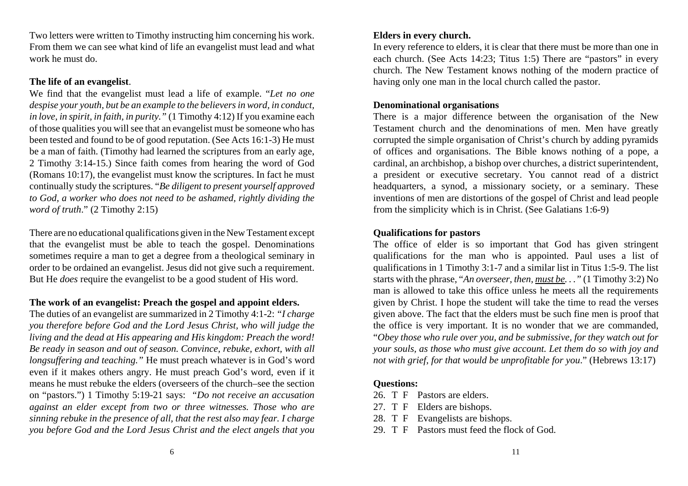Two letters were written to Timothy instructing him concerning his work. From them we can see what kind of life an evangelist must lead and what work he must do.

#### **The life of an evangelist**.

We find that the evangelist must lead a life of example. "*Let no one despise your youth, but be an example to the believers in word, in conduct, in love, in spirit, in faith, in purity."* (1 Timothy 4:12) If you examine each of those qualities you will see that an evangelist must be someone who has been tested and found to be of good reputation. (See Acts 16:1-3) He must be a man of faith. (Timothy had learned the scriptures from an early age, 2 Timothy 3:14-15.) Since faith comes from hearing the word of God (Romans 10:17), the evangelist must know the scriptures. In fact he must continually study the scriptures. "*Be diligent to present yourself approved to God, a worker who does not need to be ashamed, rightly dividing the word of truth*." (2 Timothy 2:15)

There are no educational qualifications given in the New Testament except that the evangelist must be able to teach the gospel. Denominations sometimes require a man to get a degree from a theological seminary in order to be ordained an evangelist. Jesus did not give such a requirement. But He *does* require the evangelist to be a good student of His word.

#### **The work of an evangelist: Preach the gospel and appoint elders.**

The duties of an evangelist are summarized in 2 Timothy 4:1-2: *"I charge you therefore before God and the Lord Jesus Christ, who will judge the living and the dead at His appearing and His kingdom: Preach the word! Be ready in season and out of season. Convince, rebuke, exhort, with all longsuffering and teaching."* He must preach whatever is in God's word even if it makes others angry. He must preach God's word, even if it means he must rebuke the elders (overseers of the church–see the section on "pastors.") 1 Timothy 5:19-21 says: *"Do not receive an accusation against an elder except from two or three witnesses. Those who are sinning rebuke in the presence of all, that the rest also may fear. I charge you before God and the Lord Jesus Christ and the elect angels that you*

#### **Elders in every church.**

In every reference to elders, it is clear that there must be more than one in each church. (See Acts 14:23; Titus 1:5) There are "pastors" in every church. The New Testament knows nothing of the modern practice of having only one man in the local church called the pastor.

#### **Denominational organisations**

There is a major difference between the organisation of the New Testament church and the denominations of men. Men have greatly corrupted the simple organisation of Christ's church by adding pyramids of offices and organisations. The Bible knows nothing of a pope, a cardinal, an archbishop, a bishop over churches, a district superintendent, a president or executive secretary. You cannot read of a district headquarters, a synod, a missionary society, or a seminary. These inventions of men are distortions of the gospel of Christ and lead people from the simplicity which is in Christ. (See Galatians 1:6-9)

#### **Qualifications for pastors**

The office of elder is so important that God has given stringent qualifications for the man who is appointed. Paul uses a list of qualifications in 1 Timothy 3:1-7 and a similar list in Titus 1:5-9. The list starts with the phrase, "*An overseer, then, must be. . ."* (1 Timothy 3:2) No man is allowed to take this office unless he meets all the requirements given by Christ. I hope the student will take the time to read the verses given above. The fact that the elders must be such fine men is proof that the office is very important. It is no wonder that we are commanded, "*Obey those who rule over you, and be submissive, for they watch out for your souls, as those who must give account. Let them do so with joy and not with grief, for that would be unprofitable for you*." (Hebrews 13:17)

#### **Questions:**

- 26. T F Pastors are elders.
- 27. T F Elders are bishops.
- 28. T F Evangelists are bishops.
- 29. T F Pastors must feed the flock of God.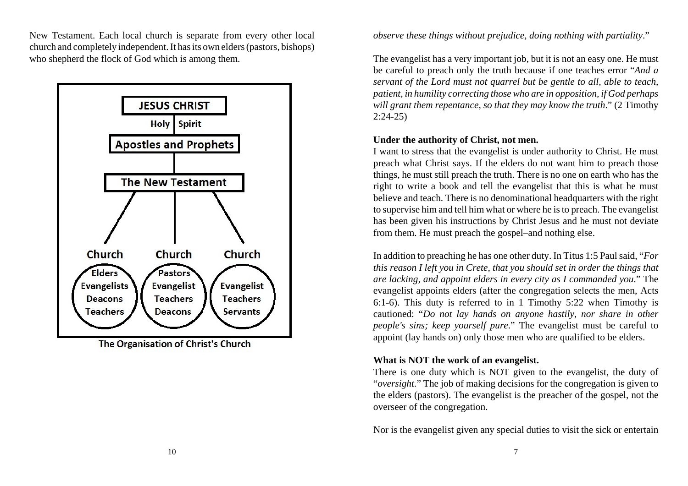New Testament. Each local church is separate from every other local church and completely independent. It has its own elders (pastors, bishops) who shepherd the flock of God which is among them.



The Organisation of Christ's Church

*observe these things without prejudice, doing nothing with partiality*."

The evangelist has a very important job, but it is not an easy one. He must be careful to preach only the truth because if one teaches error "*And a servant of the Lord must not quarrel but be gentle to all, able to teach, patient, in humility correcting those who are in opposition, if God perhaps* will grant them repentance, so that they may know the truth." (2 Timothy 2:24-25)

#### **Under the authority of Christ, not men.**

I want to stress that the evangelist is under authority to Christ. He must preach what Christ says. If the elders do not want him to preach those things, he must still preach the truth. There is no one on earth who has the right to write a book and tell the evangelist that this is what he must believe and teach. There is no denominational headquarters with the right to supervise him and tell him what or where he is to preach. The evangelist has been given his instructions by Christ Jesus and he must not deviate from them. He must preach the gospel–and nothing else.

In addition to preaching he has one other duty. In Titus 1:5 Paul said, "*For this reason I left you in Crete, that you should set in order the things that are lacking, and appoint elders in every city as I commanded you*." The evangelist appoints elders (after the congregation selects the men, Acts 6:1-6). This duty is referred to in 1 Timothy 5:22 when Timothy is cautioned: "*Do not lay hands on anyone hastily, nor share in other people's sins; keep yourself pure*." The evangelist must be careful to appoint (lay hands on) only those men who are qualified to be elders.

## **What is NOT the work of an evangelist.**

There is one duty which is NOT given to the evangelist, the duty of "*oversight*." The job of making decisions for the congregation is given to the elders (pastors). The evangelist is the preacher of the gospel, not the overseer of the congregation.

Nor is the evangelist given any special duties to visit the sick or entertain